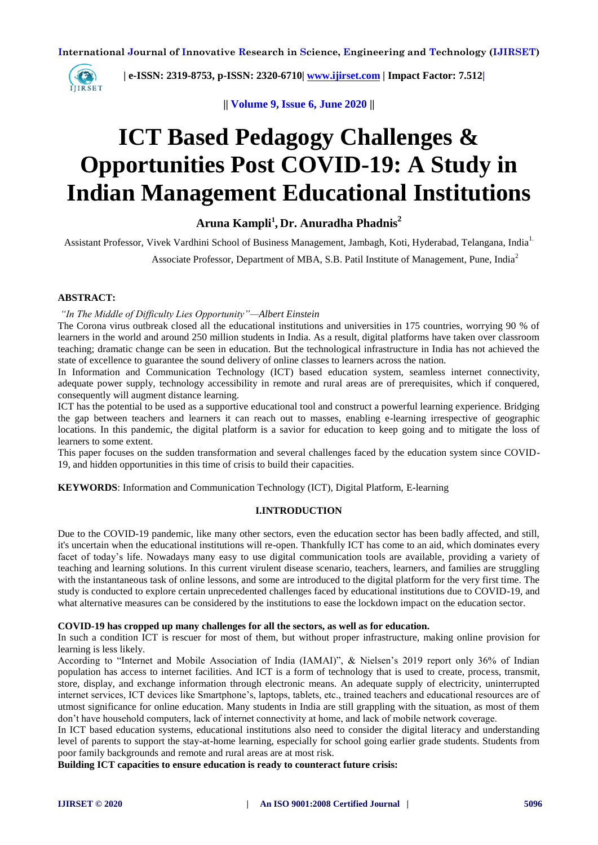

 **| e-ISSN: 2319-8753, p-ISSN: 2320-6710[| www.ijirset.com](http://www.ijirset.com/) | Impact Factor: 7.512|**

**|| Volume 9, Issue 6, June 2020 ||**

# **ICT Based Pedagogy Challenges & Opportunities Post COVID-19: A Study in Indian Management Educational Institutions**

# **Aruna Kampli<sup>1</sup> , Dr. Anuradha Phadnis<sup>2</sup>**

Assistant Professor, Vivek Vardhini School of Business Management, Jambagh, Koti, Hyderabad, Telangana, India1.

Associate Professor, Department of MBA, S.B. Patil Institute of Management, Pune, India<sup>2</sup>

# **ABSTRACT:**

# *"In The Middle of Difficulty Lies Opportunity"—Albert Einstein*

The Corona virus outbreak closed all the educational institutions and universities in 175 countries, worrying 90 % of learners in the world and around 250 million students in India. As a result, digital platforms have taken over classroom teaching; dramatic change can be seen in education. But the technological infrastructure in India has not achieved the state of excellence to guarantee the sound delivery of online classes to learners across the nation.

In Information and Communication Technology (ICT) based education system, seamless internet connectivity, adequate power supply, technology accessibility in remote and rural areas are of prerequisites, which if conquered, consequently will augment distance learning.

ICT has the potential to be used as a supportive educational tool and construct a powerful learning experience. Bridging the gap between teachers and learners it can reach out to masses, enabling e-learning irrespective of geographic locations. In this pandemic, the digital platform is a savior for education to keep going and to mitigate the loss of learners to some extent.

This paper focuses on the sudden transformation and several challenges faced by the education system since COVID-19, and hidden opportunities in this time of crisis to build their capacities.

**KEYWORDS**: Information and Communication Technology (ICT), Digital Platform, E-learning

# **I.INTRODUCTION**

Due to the COVID-19 pandemic, like many other sectors, even the education sector has been badly affected, and still, it's uncertain when the educational institutions will re-open. Thankfully ICT has come to an aid, which dominates every facet of today's life. Nowadays many easy to use digital communication tools are available, providing a variety of teaching and learning solutions. In this current virulent disease scenario, teachers, learners, and families are struggling with the instantaneous task of online lessons, and some are introduced to the digital platform for the very first time. The study is conducted to explore certain unprecedented challenges faced by educational institutions due to COVID-19, and what alternative measures can be considered by the institutions to ease the lockdown impact on the education sector.

#### **COVID-19 has cropped up many challenges for all the sectors, as well as for education.**

In such a condition ICT is rescuer for most of them, but without proper infrastructure, making online provision for learning is less likely.

According to "Internet and Mobile Association of India (IAMAI)", & Nielsen's 2019 report only 36% of Indian population has access to internet facilities. And ICT is a form of technology that is used to create, process, transmit, store, display, and exchange information through electronic means. An adequate supply of electricity, uninterrupted internet services, ICT devices like Smartphone's, laptops, tablets, etc., trained teachers and educational resources are of utmost significance for online education. Many students in India are still grappling with the situation, as most of them don't have household computers, lack of internet connectivity at home, and lack of mobile network coverage.

In ICT based education systems, educational institutions also need to consider the digital literacy and understanding level of parents to support the stay-at-home learning, especially for school going earlier grade students. Students from poor family backgrounds and remote and rural areas are at most risk.

**Building ICT capacities to ensure education is ready to counteract future crisis:**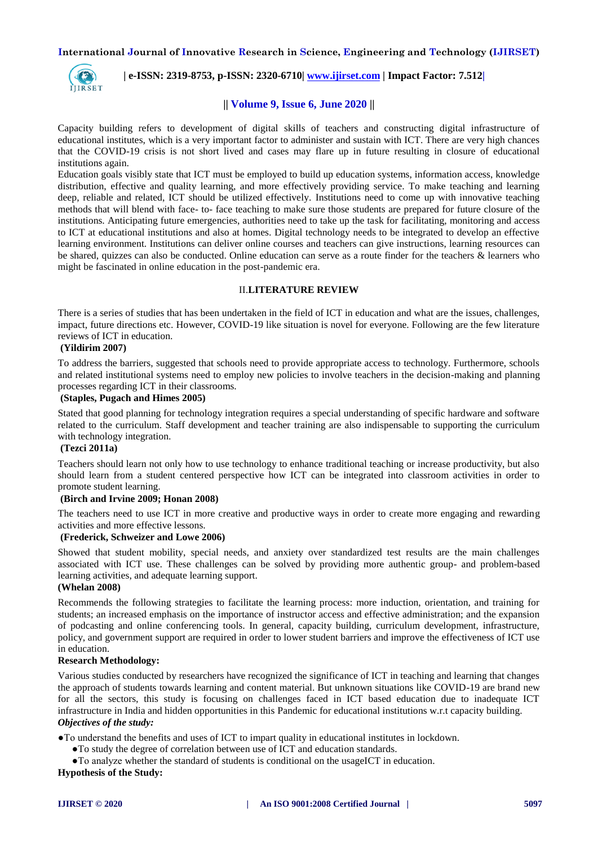

 **| e-ISSN: 2319-8753, p-ISSN: 2320-6710[| www.ijirset.com](http://www.ijirset.com/) | Impact Factor: 7.512|**

# **|| Volume 9, Issue 6, June 2020 ||**

Capacity building refers to development of digital skills of teachers and constructing digital infrastructure of educational institutes, which is a very important factor to administer and sustain with ICT. There are very high chances that the COVID-19 crisis is not short lived and cases may flare up in future resulting in closure of educational institutions again.

Education goals visibly state that ICT must be employed to build up education systems, information access, knowledge distribution, effective and quality learning, and more effectively providing service. To make teaching and learning deep, reliable and related, ICT should be utilized effectively. Institutions need to come up with innovative teaching methods that will blend with face- to- face teaching to make sure those students are prepared for future closure of the institutions. Anticipating future emergencies, authorities need to take up the task for facilitating, monitoring and access to ICT at educational institutions and also at homes. Digital technology needs to be integrated to develop an effective learning environment. Institutions can deliver online courses and teachers can give instructions, learning resources can be shared, quizzes can also be conducted. Online education can serve as a route finder for the teachers & learners who might be fascinated in online education in the post-pandemic era.

# II.**LITERATURE REVIEW**

There is a series of studies that has been undertaken in the field of ICT in education and what are the issues, challenges, impact, future directions etc. However, COVID-19 like situation is novel for everyone. Following are the few literature reviews of ICT in education.

# **(Yildirim 2007)**

To address the barriers, suggested that schools need to provide appropriate access to technology. Furthermore, schools and related institutional systems need to employ new policies to involve teachers in the decision-making and planning processes regarding ICT in their classrooms.

#### **(Staples, Pugach and Himes 2005)**

Stated that good planning for technology integration requires a special understanding of specific hardware and software related to the curriculum. Staff development and teacher training are also indispensable to supporting the curriculum with technology integration.

#### **(Tezci 2011a)**

Teachers should learn not only how to use technology to enhance traditional teaching or increase productivity, but also should learn from a student centered perspective how ICT can be integrated into classroom activities in order to promote student learning.

#### **(Birch and Irvine 2009; Honan 2008)**

The teachers need to use ICT in more creative and productive ways in order to create more engaging and rewarding activities and more effective lessons.

#### **(Frederick, Schweizer and Lowe 2006)**

Showed that student mobility, special needs, and anxiety over standardized test results are the main challenges associated with ICT use. These challenges can be solved by providing more authentic group- and problem-based learning activities, and adequate learning support.

# **(Whelan 2008)**

Recommends the following strategies to facilitate the learning process: more induction, orientation, and training for students; an increased emphasis on the importance of instructor access and effective administration; and the expansion of podcasting and online conferencing tools. In general, capacity building, curriculum development, infrastructure, policy, and government support are required in order to lower student barriers and improve the effectiveness of ICT use in education.

#### **Research Methodology:**

Various studies conducted by researchers have recognized the significance of ICT in teaching and learning that changes the approach of students towards learning and content material. But unknown situations like COVID-19 are brand new for all the sectors, this study is focusing on challenges faced in ICT based education due to inadequate ICT infrastructure in India and hidden opportunities in this Pandemic for educational institutions w.r.t capacity building. *Objectives of the study:* 

●To understand the benefits and uses of ICT to impart quality in educational institutes in lockdown.

●To study the degree of correlation between use of ICT and education standards.

●To analyze whether the standard of students is conditional on the usageICT in education.

# **Hypothesis of the Study:**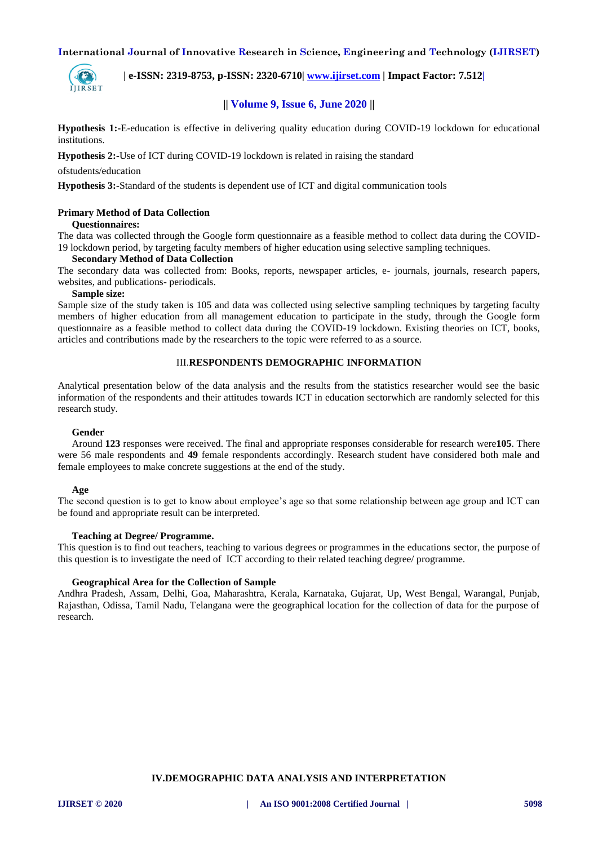

 **| e-ISSN: 2319-8753, p-ISSN: 2320-6710[| www.ijirset.com](http://www.ijirset.com/) | Impact Factor: 7.512|**

# **|| Volume 9, Issue 6, June 2020 ||**

**Hypothesis 1:-**E-education is effective in delivering quality education during COVID-19 lockdown for educational institutions.

**Hypothesis 2:-**Use of ICT during COVID-19 lockdown is related in raising the standard

## ofstudents/education

**Hypothesis 3:-**Standard of the students is dependent use of ICT and digital communication tools

#### **Primary Method of Data Collection**

#### **Questionnaires:**

The data was collected through the Google form questionnaire as a feasible method to collect data during the COVID-19 lockdown period, by targeting faculty members of higher education using selective sampling techniques.

# **Secondary Method of Data Collection**

The secondary data was collected from: Books, reports, newspaper articles, e- journals, journals, research papers, websites, and publications- periodicals.

# **Sample size:**

Sample size of the study taken is 105 and data was collected using selective sampling techniques by targeting faculty members of higher education from all management education to participate in the study, through the Google form questionnaire as a feasible method to collect data during the COVID-19 lockdown. Existing theories on ICT, books, articles and contributions made by the researchers to the topic were referred to as a source.

#### III.**RESPONDENTS DEMOGRAPHIC INFORMATION**

Analytical presentation below of the data analysis and the results from the statistics researcher would see the basic information of the respondents and their attitudes towards ICT in education sectorwhich are randomly selected for this research study.

#### **Gender**

Around **123** responses were received. The final and appropriate responses considerable for research were**105**. There were 56 male respondents and **49** female respondents accordingly. Research student have considered both male and female employees to make concrete suggestions at the end of the study.

#### **Age**

The second question is to get to know about employee's age so that some relationship between age group and ICT can be found and appropriate result can be interpreted.

#### **Teaching at Degree/ Programme.**

This question is to find out teachers, teaching to various degrees or programmes in the educations sector, the purpose of this question is to investigate the need of ICT according to their related teaching degree/ programme.

#### **Geographical Area for the Collection of Sample**

Andhra Pradesh, Assam, Delhi, Goa, Maharashtra, Kerala, Karnataka, Gujarat, Up, West Bengal, Warangal, Punjab, Rajasthan, Odissa, Tamil Nadu, Telangana were the geographical location for the collection of data for the purpose of research.

# **IV.DEMOGRAPHIC DATA ANALYSIS AND INTERPRETATION**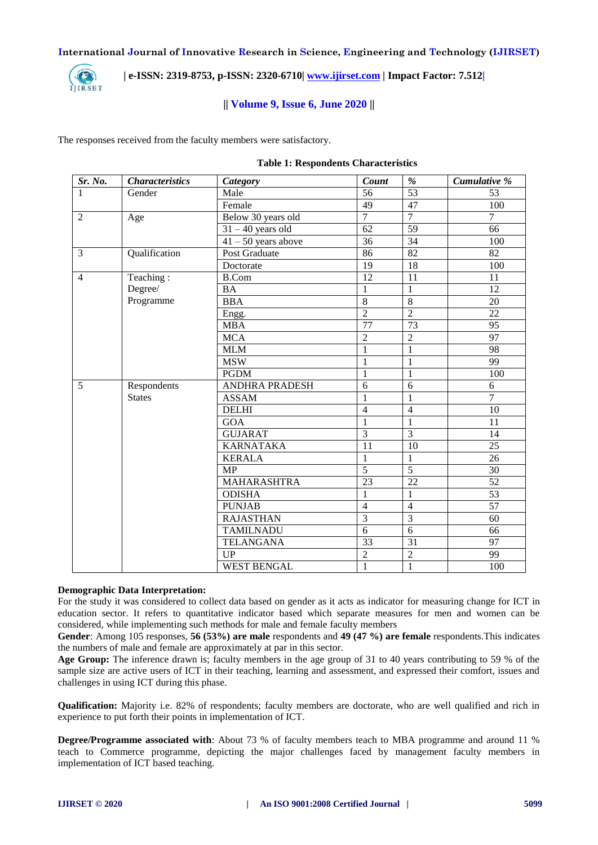

 **| e-ISSN: 2319-8753, p-ISSN: 2320-6710[| www.ijirset.com](http://www.ijirset.com/) | Impact Factor: 7.512|**

# **|| Volume 9, Issue 6, June 2020 ||**

The responses received from the faculty members were satisfactory.

| Sr. No.        | <b>Characteristics</b> | Category              | Count           | $\%$            | Cumulative %    |
|----------------|------------------------|-----------------------|-----------------|-----------------|-----------------|
|                | Gender                 | Male                  | $\overline{56}$ | $\overline{53}$ | 53              |
|                |                        | Female                | 49              | 47              | 100             |
| $\overline{2}$ | Age                    | Below 30 years old    | $\overline{7}$  | $\overline{7}$  | $\overline{7}$  |
|                |                        | $31 - 40$ years old   | 62              | $\overline{59}$ | 66              |
|                |                        | $41 - 50$ years above | $\overline{36}$ | $\overline{34}$ | 100             |
| $\overline{3}$ | Qualification          | Post Graduate         | 86              | 82              | 82              |
|                |                        | Doctorate             | 19              | 18              | 100             |
| $\overline{4}$ | Teaching:              | <b>B.Com</b>          | 12              | 11              | 11              |
|                | Degree/                | $\bar{B}A$            | $\mathbf{1}$    | $\mathbf{1}$    | 12              |
|                | Programme              | <b>BBA</b>            | $\overline{8}$  | 8               | 20              |
|                |                        | Engg.                 | $\overline{2}$  | $\overline{2}$  | $\overline{22}$ |
|                |                        | <b>MBA</b>            | 77              | $\overline{73}$ | $\overline{95}$ |
|                |                        | <b>MCA</b>            | $\overline{2}$  | $\overline{2}$  | 97              |
|                |                        | <b>MLM</b>            | $\mathbf{1}$    | $\mathbf{1}$    | 98              |
|                |                        | <b>MSW</b>            | $\mathbf{1}$    | $\mathbf{1}$    | 99              |
|                |                        | <b>PGDM</b>           | $\mathbf{1}$    | $\mathbf{1}$    | 100             |
| 5              | Respondents            | <b>ANDHRA PRADESH</b> | $\overline{6}$  | 6               | 6               |
|                | <b>States</b>          | <b>ASSAM</b>          | $\mathbf{1}$    | $\mathbf{1}$    | $\overline{7}$  |
|                |                        | <b>DELHI</b>          | $\overline{4}$  | $\overline{4}$  | 10              |
|                |                        | GOA                   | $\mathbf{1}$    | $\mathbf{1}$    | 11              |
|                |                        | <b>GUJARAT</b>        | $\overline{3}$  | $\overline{3}$  | 14              |
|                |                        | <b>KARNATAKA</b>      | $\overline{11}$ | 10              | 25              |
|                |                        | <b>KERALA</b>         | $\mathbf{1}$    | $\mathbf{1}$    | 26              |
|                |                        | <b>MP</b>             | $\overline{5}$  | $\overline{5}$  | 30              |
|                |                        | MAHARASHTRA           | 23              | 22              | 52              |
|                |                        | <b>ODISHA</b>         | $\mathbf{1}$    | $\mathbf{1}$    | 53              |
|                |                        | <b>PUNJAB</b>         | $\overline{4}$  | $\overline{4}$  | $\overline{57}$ |
|                |                        | <b>RAJASTHAN</b>      | $\overline{3}$  | $\overline{3}$  | 60              |
|                |                        | <b>TAMILNADU</b>      | $\overline{6}$  | 6               | 66              |
|                |                        | <b>TELANGANA</b>      | 33              | 31              | 97              |
|                |                        | <b>UP</b>             | $\overline{2}$  | $\overline{2}$  | 99              |
|                |                        | <b>WEST BENGAL</b>    | $\overline{1}$  | $\overline{1}$  | 100             |

#### **Table 1: Respondents Characteristics**

#### **Demographic Data Interpretation:**

For the study it was considered to collect data based on gender as it acts as indicator for measuring change for ICT in education sector. It refers to quantitative indicator based which separate measures for men and women can be considered, while implementing such methods for male and female faculty members

**Gender**: Among 105 responses, **56 (53%) are male** respondents and **49 (47 %) are female** respondents.This indicates the numbers of male and female are approximately at par in this sector.

**Age Group:** The inference drawn is; faculty members in the age group of 31 to 40 years contributing to 59 % of the sample size are active users of ICT in their teaching, learning and assessment, and expressed their comfort, issues and challenges in using ICT during this phase.

**Qualification:** Majority i.e. 82% of respondents; faculty members are doctorate, who are well qualified and rich in experience to put forth their points in implementation of ICT.

**Degree/Programme associated with**: About 73 % of faculty members teach to MBA programme and around 11 % teach to Commerce programme, depicting the major challenges faced by management faculty members in implementation of ICT based teaching.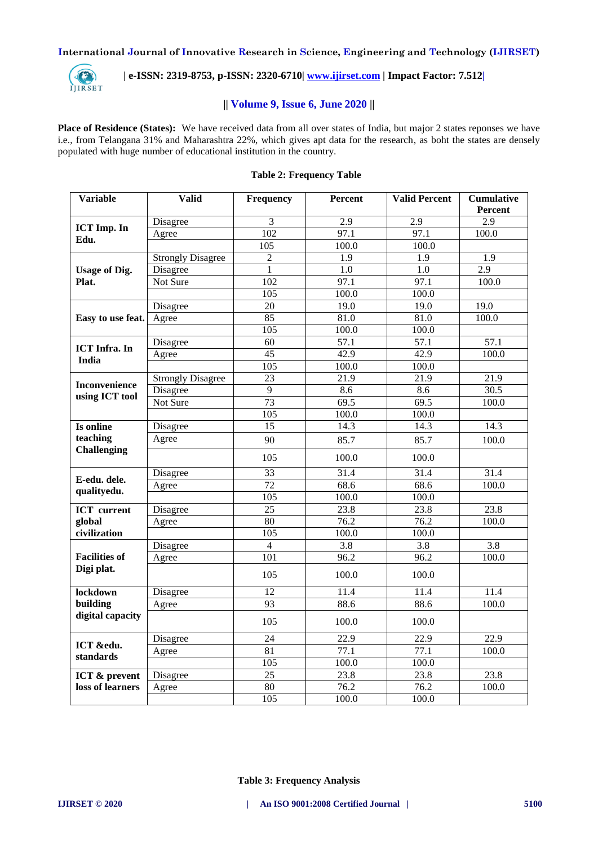

# **| e-ISSN: 2319-8753, p-ISSN: 2320-6710[| www.ijirset.com](http://www.ijirset.com/) | Impact Factor: 7.512|**

# **|| Volume 9, Issue 6, June 2020 ||**

Place of Residence (States): We have received data from all over states of India, but major 2 states reponses we have i.e., from Telangana 31% and Maharashtra 22%, which gives apt data for the research, as boht the states are densely populated with huge number of educational institution in the country.

| Variable             | <b>Valid</b>             | Frequency        | Percent          | <b>Valid Percent</b> | <b>Cumulative</b> |
|----------------------|--------------------------|------------------|------------------|----------------------|-------------------|
|                      |                          |                  |                  |                      | Percent           |
| <b>ICT Imp. In</b>   | Disagree                 | 3                | 2.9              | 2.9                  | 2.9               |
| Edu.                 | Agree                    | 102              | 97.1             | 97.1                 | 100.0             |
|                      |                          | $\overline{105}$ | 100.0            | 100.0                |                   |
|                      | <b>Strongly Disagree</b> | $\overline{2}$   | 1.9              | 1.9                  | $\overline{1.9}$  |
| <b>Usage of Dig.</b> | Disagree                 | $\mathbf{1}$     | $\overline{1.0}$ | $\overline{1.0}$     | 2.9               |
| Plat.                | Not Sure                 | 102              | 97.1             | 97.1                 | 100.0             |
|                      |                          | 105              | 100.0            | 100.0                |                   |
|                      | Disagree                 | 20               | 19.0             | 19.0                 | 19.0              |
| Easy to use feat.    | Agree                    | 85               | 81.0             | 81.0                 | 100.0             |
|                      |                          | $\overline{105}$ | 100.0            | 100.0                |                   |
| <b>ICT</b> Infra. In | Disagree                 | $\overline{60}$  | 57.1             | 57.1                 | $\overline{57.1}$ |
| India                | Agree                    | 45               | 42.9             | 42.9                 | 100.0             |
|                      |                          | $\overline{105}$ | 100.0            | 100.0                |                   |
| <b>Inconvenience</b> | <b>Strongly Disagree</b> | 23               | 21.9             | 21.9                 | 21.9              |
| using ICT tool       | Disagree                 | $\overline{9}$   | 8.6              | 8.6                  | 30.5              |
|                      | Not Sure                 | 73               | 69.5             | 69.5                 | 100.0             |
|                      |                          | $\overline{105}$ | 100.0            | 100.0                |                   |
| Is online            | Disagree                 | $\overline{15}$  | 14.3             | 14.3                 | 14.3              |
| teaching             | Agree                    | 90               | 85.7             | 85.7                 | 100.0             |
| <b>Challenging</b>   |                          | 105              | 100.0            | 100.0                |                   |
| E-edu. dele.         | Disagree                 | 33               | 31.4             | 31.4                 | 31.4              |
|                      | Agree                    | 72               | 68.6             | 68.6                 | 100.0             |
| qualityedu.          |                          | 105              | 100.0            | 100.0                |                   |
| <b>ICT</b> current   | Disagree                 | 25               | 23.8             | 23.8                 | 23.8              |
| global               | Agree                    | 80               | 76.2             | 76.2                 | 100.0             |
| civilization         |                          | 105              | 100.0            | 100.0                |                   |
|                      | Disagree                 | $\overline{4}$   | $\overline{3.8}$ | 3.8                  | $\overline{3.8}$  |
| <b>Facilities of</b> | Agree                    | 101              | 96.2             | 96.2                 | 100.0             |
| Digi plat.           |                          | 105              | 100.0            | 100.0                |                   |
| lockdown             | Disagree                 | 12               | 11.4             | 11.4                 | 11.4              |
| building             | Agree                    | 93               | 88.6             | 88.6                 | 100.0             |
| digital capacity     |                          | 105              | 100.0            | 100.0                |                   |
|                      | Disagree                 | 24               | 22.9             | $\overline{22.9}$    | 22.9              |
| ICT &edu.            | Agree                    | $\overline{81}$  | 77.1             | 77.1                 | 100.0             |
| standards            |                          | $\overline{105}$ | 100.0            | 100.0                |                   |
| ICT & prevent        | Disagree                 | $\overline{25}$  | 23.8             | 23.8                 | 23.8              |
| loss of learners     | Agree                    | 80               | 76.2             | 76.2                 | 100.0             |
|                      |                          | $\overline{105}$ | 100.0            | 100.0                |                   |

# **Table 2: Frequency Table**

**Table 3: Frequency Analysis**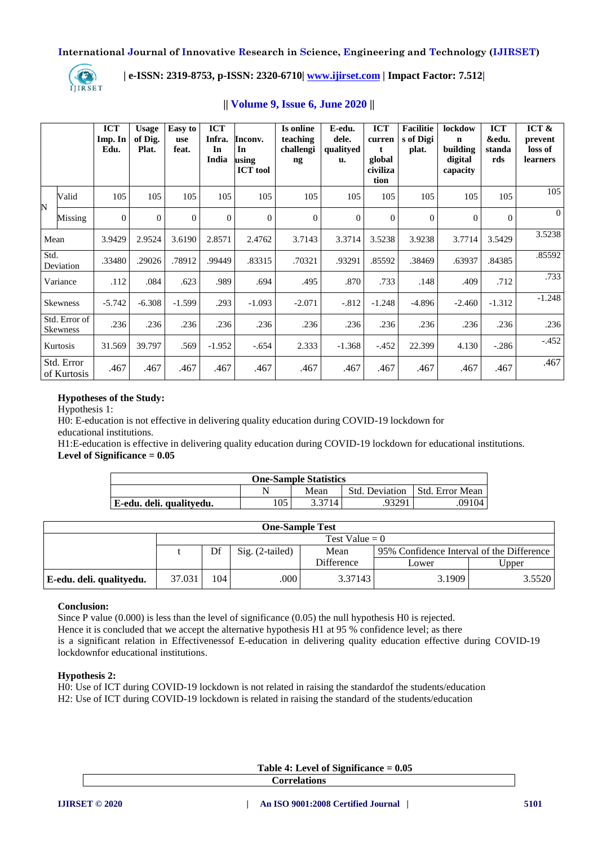

# **| e-ISSN: 2319-8753, p-ISSN: 2320-6710[| www.ijirset.com](http://www.ijirset.com/) | Impact Factor: 7.512|**

|      |                                  | <b>ICT</b><br>Imp. In<br>Edu. | <b>Usage</b><br>of Dig.<br>Plat. | <b>Easy to</b><br>use<br>feat. | <b>ICT</b><br>Infra.<br>In<br>India | Inconv.<br>In<br>using<br><b>ICT</b> tool | Is online<br>teaching<br>challengi<br>$\mathbf{n}\mathbf{g}$ | E-edu.<br>dele.<br>qualityed<br>u. | <b>ICT</b><br>curren<br>t<br>global<br>civiliza<br>tion | <b>Facilitie</b><br>s of Digi<br>plat. | lockdow<br>n<br>building<br>digital<br>capacity | <b>ICT</b><br>&edu.<br>standa<br>rds | ICT &<br>prevent<br>loss of<br>learners |
|------|----------------------------------|-------------------------------|----------------------------------|--------------------------------|-------------------------------------|-------------------------------------------|--------------------------------------------------------------|------------------------------------|---------------------------------------------------------|----------------------------------------|-------------------------------------------------|--------------------------------------|-----------------------------------------|
| N    | Valid                            | 105                           | 105                              | 105                            | 105                                 | 105                                       | 105                                                          | 105                                | 105                                                     | 105                                    | 105                                             | 105                                  | 105                                     |
|      | Missing                          | $\overline{0}$                | $\overline{0}$                   | $\theta$                       | $\overline{0}$                      | $\mathbf{0}$                              | $\theta$                                                     | $\overline{0}$                     | $\mathbf{0}$                                            | $\mathbf{0}$                           | $\theta$                                        | $\theta$                             | $\Omega$                                |
| Mean |                                  | 3.9429                        | 2.9524                           | 3.6190                         | 2.8571                              | 2.4762                                    | 3.7143                                                       | 3.3714                             | 3.5238                                                  | 3.9238                                 | 3.7714                                          | 3.5429                               | 3.5238                                  |
| Std. | Deviation                        | .33480                        | .29026                           | .78912                         | .99449                              | .83315                                    | .70321                                                       | .93291                             | .85592                                                  | .38469                                 | .63937                                          | .84385                               | .85592                                  |
|      | Variance                         | .112                          | .084                             | .623                           | .989                                | .694                                      | .495                                                         | .870                               | .733                                                    | .148                                   | .409                                            | .712                                 | .733                                    |
|      | <b>Skewness</b>                  | $-5.742$                      | $-6.308$                         | $-1.599$                       | .293                                | $-1.093$                                  | $-2.071$                                                     | $-.812$                            | $-1.248$                                                | $-4.896$                               | $-2.460$                                        | $-1.312$                             | $-1.248$                                |
|      | Std. Error of<br><b>Skewness</b> | .236                          | .236                             | .236                           | .236                                | .236                                      | .236                                                         | .236                               | .236                                                    | .236                                   | .236                                            | .236                                 | .236                                    |
|      | Kurtosis                         | 31.569                        | 39.797                           | .569                           | $-1.952$                            | $-.654$                                   | 2.333                                                        | $-1.368$                           | $-.452$                                                 | 22.399                                 | 4.130                                           | $-.286$                              | $-.452$                                 |
|      | Std. Error<br>of Kurtosis        | .467                          | .467                             | .467                           | .467                                | .467                                      | .467                                                         | .467                               | .467                                                    | .467                                   | .467                                            | .467                                 | .467                                    |

# **|| Volume 9, Issue 6, June 2020 ||**

# **Hypotheses of the Study:**

Hypothesis 1:

H0: E-education is not effective in delivering quality education during COVID-19 lockdown for educational institutions.

H1:E-education is effective in delivering quality education during COVID-19 lockdown for educational institutions. **Level of Significance = 0.05**

| <b>One-Sample Statistics</b> |     |        |                |                   |  |  |
|------------------------------|-----|--------|----------------|-------------------|--|--|
|                              |     | Mean   | Std. Deviation | I Std. Error Mean |  |  |
| E-edu. deli. qualityedu.     | .05 | 3.3714 | .93291         | 09104             |  |  |

|                          |        |                  |                   | <b>One-Sample Test</b> |                                           |        |  |  |  |
|--------------------------|--------|------------------|-------------------|------------------------|-------------------------------------------|--------|--|--|--|
|                          |        | Test Value $= 0$ |                   |                        |                                           |        |  |  |  |
|                          |        | Df               | $Sig. (2-tailed)$ | Mean                   | 95% Confidence Interval of the Difference |        |  |  |  |
|                          |        |                  |                   | <b>Difference</b>      | Lower                                     | Upper  |  |  |  |
| E-edu. deli. qualityedu. | 37.031 | 104              | .000              | 3.37143                | 3.1909                                    | 3.5520 |  |  |  |

# **Conclusion:**

Since P value (0.000) is less than the level of significance (0.05) the null hypothesis H0 is rejected. Hence it is concluded that we accept the alternative hypothesis H1 at 95 % confidence level; as there is a significant relation in Effectivenessof E-education in delivering quality education effective during COVID-19 lockdownfor educational institutions.

# **Hypothesis 2:**

H0: Use of ICT during COVID-19 lockdown is not related in raising the standardof the students/education H2: Use of ICT during COVID-19 lockdown is related in raising the standard of the students/education

| Table 4: Level of Significance $= 0.05$ |  |
|-----------------------------------------|--|
| <b>Correlations</b>                     |  |
|                                         |  |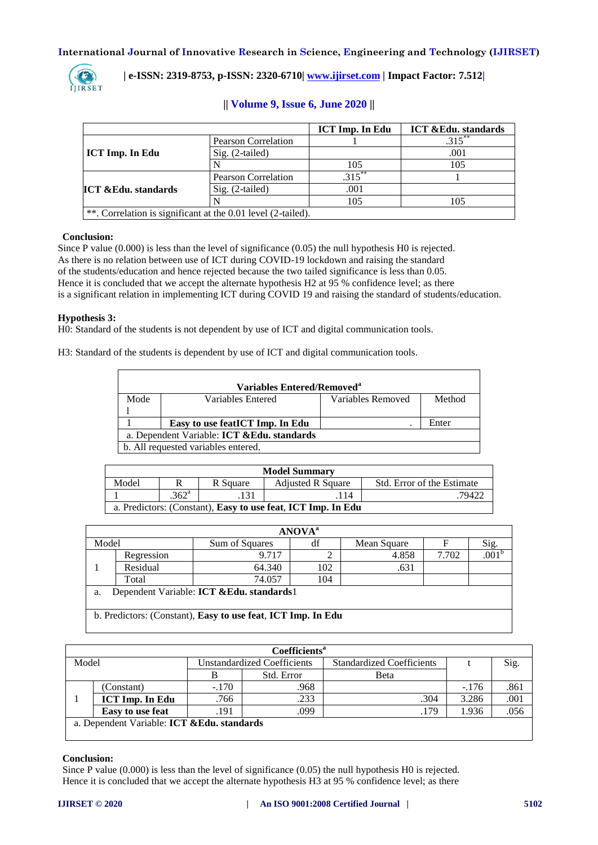

 **| e-ISSN: 2319-8753, p-ISSN: 2320-6710[| www.ijirset.com](http://www.ijirset.com/) | Impact Factor: 7.512|**

|                                                                |                            | <b>ICT Imp. In Edu</b> | <b>ICT &amp; Edu.</b> standards |
|----------------------------------------------------------------|----------------------------|------------------------|---------------------------------|
|                                                                | <b>Pearson Correlation</b> |                        | 315                             |
| ICT Imp. In Edu                                                | $Sig. (2-tailed)$          |                        | .001                            |
|                                                                |                            | 105                    | 105                             |
|                                                                | <b>Pearson Correlation</b> | $.315$ <sup>*</sup>    |                                 |
| <b>ICT &amp;Edu.</b> standards                                 | $Sig. (2-tailed)$          | .001                   |                                 |
|                                                                |                            | 105                    | 105                             |
| **. Correlation is significant at the $0.01$ level (2-tailed). |                            |                        |                                 |

# **|| Volume 9, Issue 6, June 2020 ||**

# **Conclusion:**

Since P value (0.000) is less than the level of significance (0.05) the null hypothesis H0 is rejected. As there is no relation between use of ICT during COVID-19 lockdown and raising the standard of the students/education and hence rejected because the two tailed significance is less than 0.05. Hence it is concluded that we accept the alternate hypothesis H2 at 95 % confidence level; as there is a significant relation in implementing ICT during COVID 19 and raising the standard of students/education.

## **Hypothesis 3:**

H0: Standard of the students is not dependent by use of ICT and digital communication tools.

H3: Standard of the students is dependent by use of ICT and digital communication tools.

|      | Variables Entered/Removed <sup>a</sup>                 |                   |        |  |  |  |  |
|------|--------------------------------------------------------|-------------------|--------|--|--|--|--|
| Mode | Variables Entered                                      | Variables Removed | Method |  |  |  |  |
|      |                                                        |                   |        |  |  |  |  |
|      | Easy to use featICT Imp. In Edu                        |                   | Enter  |  |  |  |  |
|      | a. Dependent Variable: <b>ICT &amp; Edu.</b> standards |                   |        |  |  |  |  |
|      | b. All requested variables entered.                    |                   |        |  |  |  |  |

| <b>Model Summary</b> |                |          |                                                              |                            |  |
|----------------------|----------------|----------|--------------------------------------------------------------|----------------------------|--|
| Model                |                | R Square | <b>Adjusted R Square</b>                                     | Std. Error of the Estimate |  |
|                      | $.362^{\circ}$ |          | 114                                                          | 79422                      |  |
|                      |                |          | a. Predictors: (Constant), Easy to use feat, ICT Imp. In Edu |                            |  |

|       |                                           |                                                              | <b>ANOVA</b> <sup>a</sup> |             |       |      |  |
|-------|-------------------------------------------|--------------------------------------------------------------|---------------------------|-------------|-------|------|--|
| Model |                                           | Sum of Squares                                               | df                        | Mean Square |       | Sig. |  |
|       | Regression                                | 9.717                                                        | ⌒                         | 4.858       | 7.702 | .001 |  |
|       | Residual                                  | 64.340                                                       | 102                       | .631        |       |      |  |
|       | Total                                     | 74.057                                                       | 104                       |             |       |      |  |
| a.    | Dependent Variable: ICT & Edu. standards1 |                                                              |                           |             |       |      |  |
|       |                                           | b. Predictors: (Constant), Easy to use feat, ICT Imp. In Edu |                           |             |       |      |  |

| Model<br><b>Standardized Coefficients</b><br>Unstandardized Coefficients<br>Std. Error<br>Beta<br>.968<br>$-.170$<br>(Constant) |         | Sig. |
|---------------------------------------------------------------------------------------------------------------------------------|---------|------|
|                                                                                                                                 |         |      |
|                                                                                                                                 |         |      |
|                                                                                                                                 | $-.176$ | .861 |
| .233<br>.304<br><b>ICT Imp. In Edu</b><br>.766                                                                                  | 3.286   | .001 |
| .099<br>.191<br>.179<br>Easy to use feat                                                                                        | 1.936   | .056 |
| a. Dependent Variable: ICT & Edu. standards                                                                                     |         |      |

#### **Conclusion:**

Since P value (0.000) is less than the level of significance (0.05) the null hypothesis H0 is rejected. Hence it is concluded that we accept the alternate hypothesis H3 at 95 % confidence level; as there